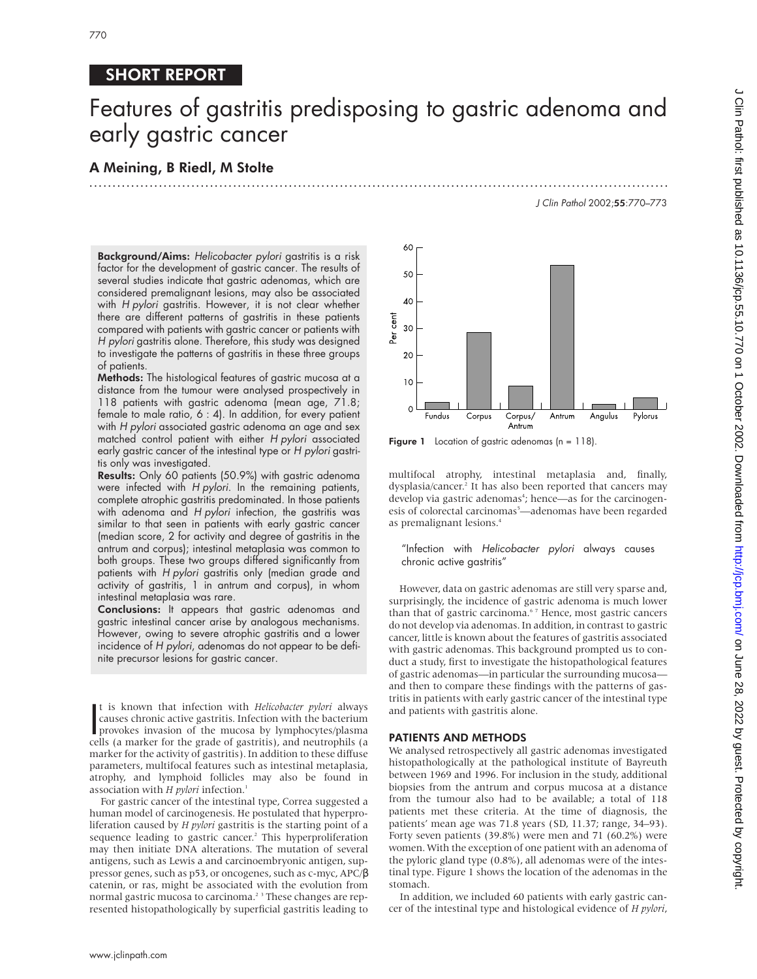# SHORT REPORT

# Features of gastritis predisposing to gastric adenoma and early gastric cancer

.............................................................................................................................

### A Meining, B Riedl, M Stolte

Background/Aims: Helicobacter pylori gastritis is a risk factor for the development of gastric cancer. The results of several studies indicate that gastric adenomas, which are considered premalignant lesions, may also be associated with H pylori gastritis. However, it is not clear whether there are different patterns of gastritis in these patients compared with patients with gastric cancer or patients with <sup>H</sup> pylori gastritis alone. Therefore, this study was designed to investigate the patterns of gastritis in these three groups of patients.

Methods: The histological features of gastric mucosa at a distance from the tumour were analysed prospectively in 118 patients with gastric adenoma (mean age, 71.8; female to male ratio, 6 : 4). In addition, for every patient with H pylori associated gastric adenoma an age and sex matched control patient with either <sup>H</sup> pylori associated early gastric cancer of the intestinal type or H pylori gastritis only was investigated.

Results: Only 60 patients (50.9%) with gastric adenoma were infected with <sup>H</sup> pylori. In the remaining patients, complete atrophic gastritis predominated. In those patients with adenoma and H pylori infection, the gastritis was similar to that seen in patients with early gastric cancer (median score, 2 for activity and degree of gastritis in the antrum and corpus); intestinal metaplasia was common to both groups. These two groups differed significantly from patients with <sup>H</sup> pylori gastritis only (median grade and activity of gastritis, 1 in antrum and corpus), in whom intestinal metaplasia was rare.

Conclusions: It appears that gastric adenomas and gastric intestinal cancer arise by analogous mechanisms. However, owing to severe atrophic gastritis and a lower incidence of <sup>H</sup> pylori, adenomas do not appear to be definite precursor lesions for gastric cancer.

It is known that infection with *Helicobacter pylori* always<br>causes chronic active gastritis. Infection with the bacterium<br>provokes invasion of the mucosa by lymphocytes/plasma<br>cells (a marker for the grade of gastritis), t is known that infection with *Helicobacter pylori* always causes chronic active gastritis. Infection with the bacterium provokes invasion of the mucosa by lymphocytes/plasma marker for the activity of gastritis). In addition to these diffuse parameters, multifocal features such as intestinal metaplasia, atrophy, and lymphoid follicles may also be found in association with *H pylori* infection.<sup>1</sup>

For gastric cancer of the intestinal type, Correa suggested a human model of carcinogenesis. He postulated that hyperproliferation caused by *H pylori* gastritis is the starting point of a sequence leading to gastric cancer.<sup>2</sup> This hyperproliferation may then initiate DNA alterations. The mutation of several antigens, such as Lewis a and carcinoembryonic antigen, suppressor genes, such as p53, or oncogenes, such as c-myc, APC/β catenin, or ras, might be associated with the evolution from normal gastric mucosa to carcinoma.<sup>23</sup> These changes are represented histopathologically by superficial gastritis leading to



J Clin Pathol 2002;55:770–773

**Figure 1** Location of gastric adenomas  $(n = 118)$ .

multifocal atrophy, intestinal metaplasia and, finally, dysplasia/cancer.<sup>2</sup> It has also been reported that cancers may develop via gastric adenomas<sup>4</sup>; hence—as for the carcinogenesis of colorectal carcinomas<sup>5</sup>—adenomas have been regarded as premalignant lesions.4

#### "Infection with Helicobacter pylori always causes chronic active gastritis"

However, data on gastric adenomas are still very sparse and, surprisingly, the incidence of gastric adenoma is much lower than that of gastric carcinoma.<sup>67</sup> Hence, most gastric cancers do not develop via adenomas. In addition, in contrast to gastric cancer, little is known about the features of gastritis associated with gastric adenomas. This background prompted us to conduct a study, first to investigate the histopathological features of gastric adenomas—in particular the surrounding mucosa and then to compare these findings with the patterns of gastritis in patients with early gastric cancer of the intestinal type and patients with gastritis alone.

#### PATIENTS AND METHODS

We analysed retrospectively all gastric adenomas investigated histopathologically at the pathological institute of Bayreuth between 1969 and 1996. For inclusion in the study, additional biopsies from the antrum and corpus mucosa at a distance from the tumour also had to be available; a total of 118 patients met these criteria. At the time of diagnosis, the patients' mean age was 71.8 years (SD, 11.37; range, 34–93). Forty seven patients (39.8%) were men and 71 (60.2%) were women. With the exception of one patient with an adenoma of the pyloric gland type (0.8%), all adenomas were of the intestinal type. Figure 1 shows the location of the adenomas in the stomach.

In addition, we included 60 patients with early gastric cancer of the intestinal type and histological evidence of *H pylori*,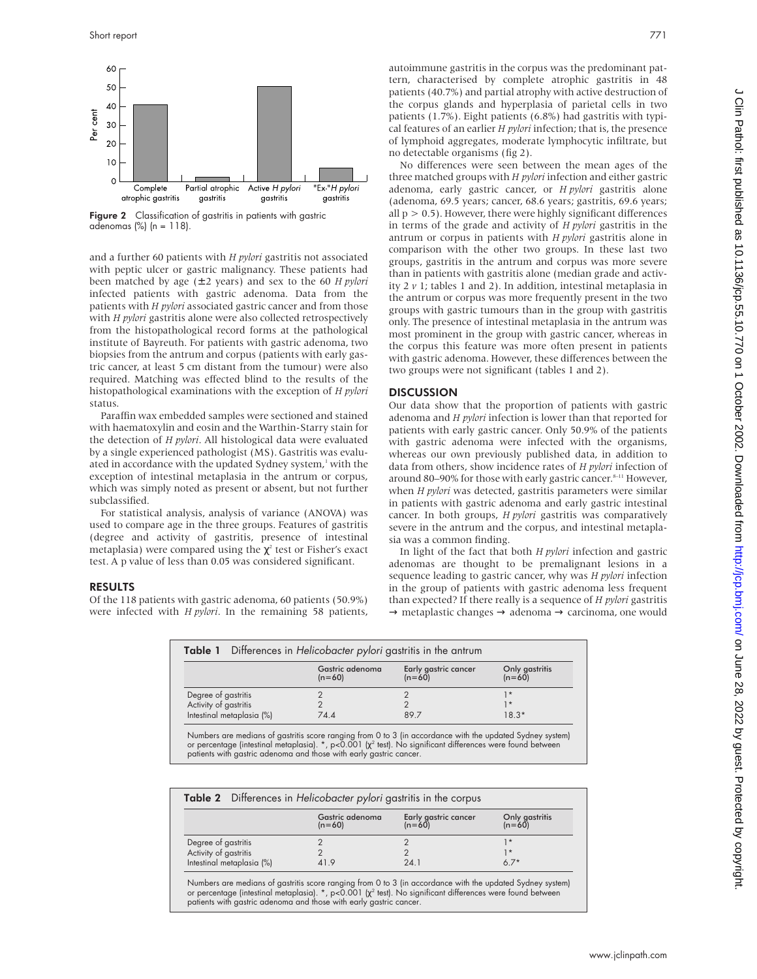

Figure 2 Classification of gastritis in patients with gastric adenomas (%) (n = 118).

and a further 60 patients with *H pylori* gastritis not associated with peptic ulcer or gastric malignancy. These patients had been matched by age (± 2 years) and sex to the 60 *H pylori* infected patients with gastric adenoma. Data from the patients with *H pylori* associated gastric cancer and from those with *H pylori* gastritis alone were also collected retrospectively from the histopathological record forms at the pathological institute of Bayreuth. For patients with gastric adenoma, two biopsies from the antrum and corpus (patients with early gastric cancer, at least 5 cm distant from the tumour) were also required. Matching was effected blind to the results of the histopathological examinations with the exception of *H pylori* status.

Paraffin wax embedded samples were sectioned and stained with haematoxylin and eosin and the Warthin-Starry stain for the detection of *H pylori*. All histological data were evaluated by a single experienced pathologist (MS). Gastritis was evaluated in accordance with the updated Sydney system, $1$  with the exception of intestinal metaplasia in the antrum or corpus, which was simply noted as present or absent, but not further subclassified.

For statistical analysis, analysis of variance (ANOVA) was used to compare age in the three groups. Features of gastritis (degree and activity of gastritis, presence of intestinal metaplasia) were compared using the  $\chi^2$  test or Fisher's exact test. A p value of less than 0.05 was considered significant.

#### RESULTS

Of the 118 patients with gastric adenoma, 60 patients (50.9%) were infected with *H pylori*. In the remaining 58 patients, autoimmune gastritis in the corpus was the predominant pattern, characterised by complete atrophic gastritis in 48 patients (40.7%) and partial atrophy with active destruction of the corpus glands and hyperplasia of parietal cells in two patients (1.7%). Eight patients (6.8%) had gastritis with typical features of an earlier *H pylori* infection; that is, the presence of lymphoid aggregates, moderate lymphocytic infiltrate, but no detectable organisms (fig 2).

No differences were seen between the mean ages of the three matched groups with *H pylori* infection and either gastric adenoma, early gastric cancer, or *H pylori* gastritis alone (adenoma, 69.5 years; cancer, 68.6 years; gastritis, 69.6 years; all  $p > 0.5$ ). However, there were highly significant differences in terms of the grade and activity of *H pylori* gastritis in the antrum or corpus in patients with *H pylori* gastritis alone in comparison with the other two groups. In these last two groups, gastritis in the antrum and corpus was more severe than in patients with gastritis alone (median grade and activity 2 *v* 1; tables 1 and 2). In addition, intestinal metaplasia in the antrum or corpus was more frequently present in the two groups with gastric tumours than in the group with gastritis only. The presence of intestinal metaplasia in the antrum was most prominent in the group with gastric cancer, whereas in the corpus this feature was more often present in patients with gastric adenoma. However, these differences between the two groups were not significant (tables 1 and 2).

#### DISCUSSION

Our data show that the proportion of patients with gastric adenoma and *H pylori* infection is lower than that reported for patients with early gastric cancer. Only 50.9% of the patients with gastric adenoma were infected with the organisms, whereas our own previously published data, in addition to data from others, show incidence rates of *H pylori* infection of around 80–90% for those with early gastric cancer.<sup>8-11</sup> However, when *H pylori* was detected, gastritis parameters were similar in patients with gastric adenoma and early gastric intestinal cancer. In both groups, *H pylori* gastritis was comparatively severe in the antrum and the corpus, and intestinal metaplasia was a common finding.

In light of the fact that both *H pylori* infection and gastric adenomas are thought to be premalignant lesions in a sequence leading to gastric cancer, why was *H pylori* infection in the group of patients with gastric adenoma less frequent than expected? If there really is a sequence of *H pylori* gastritis  $\rightarrow$  metaplastic changes  $\rightarrow$  adenoma  $\rightarrow$  carcinoma, one would

| Table 1 Differences in Helicobacter pylori gastritis in the antrum |                             |                                |                          |  |
|--------------------------------------------------------------------|-----------------------------|--------------------------------|--------------------------|--|
|                                                                    | Gastric adenoma<br>$(n=60)$ | Early gastric cancer<br>(n=60) | Only gastritis<br>(n=60) |  |
| Degree of gastritis                                                |                             |                                | $\star$                  |  |
| Activity of gastritis                                              |                             |                                | $1*$                     |  |
| Intestinal metaplasia (%)                                          | 74 A                        | 897                            | $18.3*$                  |  |

Numbers are medians of gastritis score ranging from 0 to 3 (in accordance with the updated Sydney system) or percentage (intestinal metaplasia). \*, p<0.001 (χ<sup>2</sup> test). No significant differences were found between<br>patients with gastric adenoma and those with early gastric cancer.

| <b>Table 2</b> Differences in Helicobacter pylori gastritis in the corpus |                             |                                  |                          |  |
|---------------------------------------------------------------------------|-----------------------------|----------------------------------|--------------------------|--|
|                                                                           | Gastric adenoma<br>$(n=60)$ | Early gastric cancer<br>$(n=60)$ | Only gastritis<br>(n=60) |  |
| Degree of gastritis                                                       |                             |                                  | 1 *                      |  |
| Activity of gastritis                                                     |                             |                                  | $1*$                     |  |
| Intestinal metaplasia (%)                                                 | 419                         | 24.1                             | $67*$                    |  |

Numbers are medians of gastritis score ranging from 0 to 3 (in accordance with the updated Sydney system) or percentage (intestinal metaplasia). \*,  $p < 0.001$  ( $\chi^2$  test). No significant differences were found between patients with gastric adenoma and those with early gastric cancer.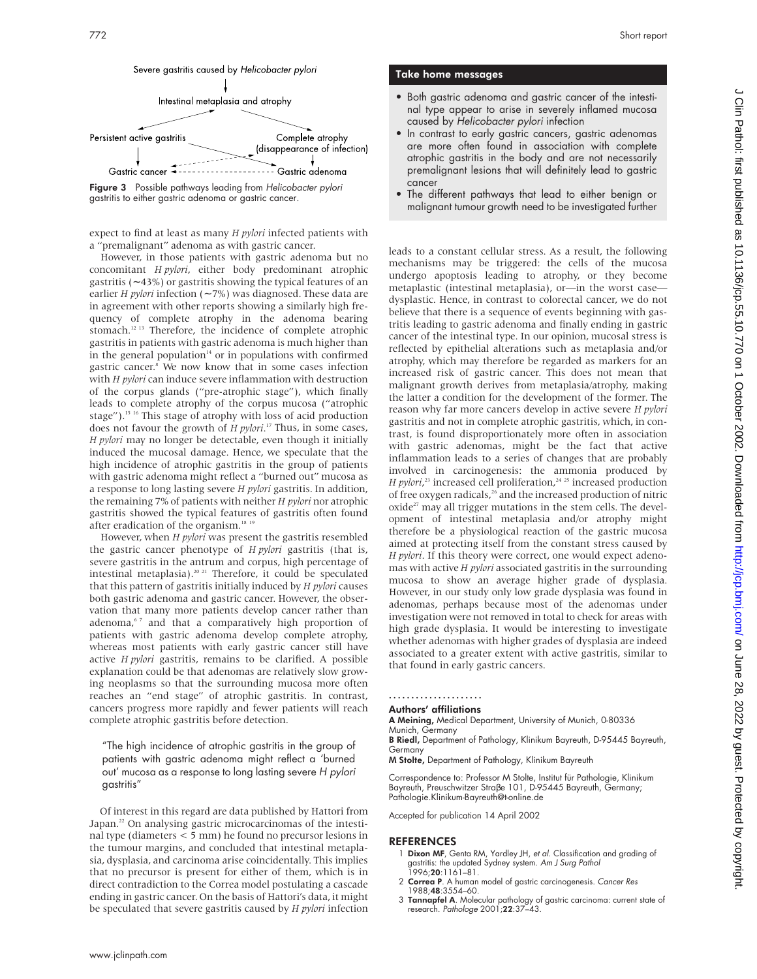

Figure 3 Possible pathways leading from Helicobacter pylori gastritis to either gastric adenoma or gastric cancer.

expect to find at least as many *H pylori* infected patients with a "premalignant" adenoma as with gastric cancer.

However, in those patients with gastric adenoma but no concomitant *H pylori*, either body predominant atrophic gastritis (∼ 43%) or gastritis showing the typical features of an earlier *H pylori* infection (∼ 7%) was diagnosed. These data are in agreement with other reports showing a similarly high frequency of complete atrophy in the adenoma bearing stomach.<sup>12 13</sup> Therefore, the incidence of complete atrophic gastritis in patients with gastric adenoma is much higher than in the general population $14$  or in populations with confirmed gastric cancer.8 We now know that in some cases infection with *H pylori* can induce severe inflammation with destruction of the corpus glands ("pre-atrophic stage"), which finally leads to complete atrophy of the corpus mucosa ("atrophic stage").<sup>15 16</sup> This stage of atrophy with loss of acid production does not favour the growth of *H pylori*. <sup>17</sup> Thus, in some cases, *H pylori* may no longer be detectable, even though it initially induced the mucosal damage. Hence, we speculate that the high incidence of atrophic gastritis in the group of patients with gastric adenoma might reflect a "burned out" mucosa as a response to long lasting severe *H pylori* gastritis. In addition, the remaining 7% of patients with neither *H pylori* nor atrophic gastritis showed the typical features of gastritis often found after eradication of the organism.18 19

However, when *H pylori* was present the gastritis resembled the gastric cancer phenotype of *H pylori* gastritis (that is, severe gastritis in the antrum and corpus, high percentage of intestinal metaplasia).20 21 Therefore, it could be speculated that this pattern of gastritis initially induced by *H pylori* causes both gastric adenoma and gastric cancer. However, the observation that many more patients develop cancer rather than adenoma,<sup>67</sup> and that a comparatively high proportion of patients with gastric adenoma develop complete atrophy, whereas most patients with early gastric cancer still have active *H pylori* gastritis, remains to be clarified. A possible explanation could be that adenomas are relatively slow growing neoplasms so that the surrounding mucosa more often reaches an "end stage" of atrophic gastritis. In contrast, cancers progress more rapidly and fewer patients will reach complete atrophic gastritis before detection.

"The high incidence of atrophic gastritis in the group of patients with gastric adenoma might reflect a 'burned out' mucosa as a response to long lasting severe <sup>H</sup> pylori gastritis"

Of interest in this regard are data published by Hattori from Japan.<sup>22</sup> On analysing gastric microcarcinomas of the intestinal type (diameters < 5 mm) he found no precursor lesions in the tumour margins, and concluded that intestinal metaplasia, dysplasia, and carcinoma arise coincidentally. This implies that no precursor is present for either of them, which is in direct contradiction to the Correa model postulating a cascade ending in gastric cancer. On the basis of Hattori's data, it might be speculated that severe gastritis caused by *H pylori* infection

#### Take home messages

- Both gastric adenoma and gastric cancer of the intestinal type appear to arise in severely inflamed mucosa caused by Helicobacter pylori infection
- In contrast to early gastric cancers, gastric adenomas are more often found in association with complete atrophic gastritis in the body and are not necessarily premalignant lesions that will definitely lead to gastric cancer
- The different pathways that lead to either benign or malignant tumour growth need to be investigated further

leads to a constant cellular stress. As a result, the following mechanisms may be triggered: the cells of the mucosa undergo apoptosis leading to atrophy, or they become metaplastic (intestinal metaplasia), or—in the worst case dysplastic. Hence, in contrast to colorectal cancer, we do not believe that there is a sequence of events beginning with gastritis leading to gastric adenoma and finally ending in gastric cancer of the intestinal type. In our opinion, mucosal stress is reflected by epithelial alterations such as metaplasia and/or atrophy, which may therefore be regarded as markers for an increased risk of gastric cancer. This does not mean that malignant growth derives from metaplasia/atrophy, making the latter a condition for the development of the former. The reason why far more cancers develop in active severe *H pylori* gastritis and not in complete atrophic gastritis, which, in contrast, is found disproportionately more often in association with gastric adenomas, might be the fact that active inflammation leads to a series of changes that are probably involved in carcinogenesis: the ammonia produced by *H pylori*,<sup>23</sup> increased cell proliferation,<sup>24 25</sup> increased production of free oxygen radicals,<sup>26</sup> and the increased production of nitric  $\alpha$ xide $^{27}$  may all trigger mutations in the stem cells. The development of intestinal metaplasia and/or atrophy might therefore be a physiological reaction of the gastric mucosa aimed at protecting itself from the constant stress caused by *H pylori*. If this theory were correct, one would expect adenomas with active *H pylori* associated gastritis in the surrounding mucosa to show an average higher grade of dysplasia. However, in our study only low grade dysplasia was found in adenomas, perhaps because most of the adenomas under investigation were not removed in total to check for areas with high grade dysplasia. It would be interesting to investigate whether adenomas with higher grades of dysplasia are indeed associated to a greater extent with active gastritis, similar to that found in early gastric cancers.

## .....................

Authors' affiliations

A Meining, Medical Department, University of Munich, 0-80336 Munich, Germany

B Riedl, Department of Pathology, Klinikum Bayreuth, D-95445 Bayreuth, Germany

M Stolte, Department of Pathology, Klinikum Bayreuth

Correspondence to: Professor M Stolte, Institut für Pathologie, Klinikum Bayreuth, Preuschwitzer Straße 101, D-95445 Bayreuth, Germany; Pathologie.Klinikum-Bayreuth@t-online.de

Accepted for publication 14 April 2002

#### REFERENCES

- 1 Dixon MF, Genta RM, Yardley JH, et al. Classification and grading of gastritis: the updated Sydney system. Am J Surg Pathol 1996;20:1161–81.
- 2 Correa P. A human model of gastric carcinogenesis. Cancer Res 1988;48:3554–60.
- 3 Tannapfel A. Molecular pathology of gastric carcinoma: current state of research. Pathologe 2001;22:37–43.